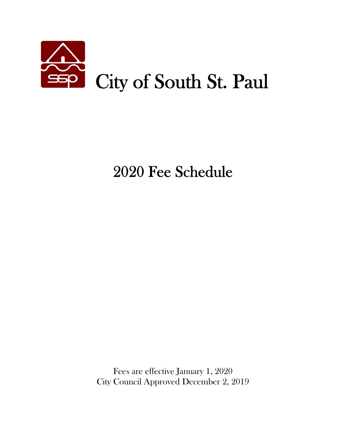

# 2020 Fee Schedule

 Fees are effective January 1, 2020 City Council Approved December 2, 2019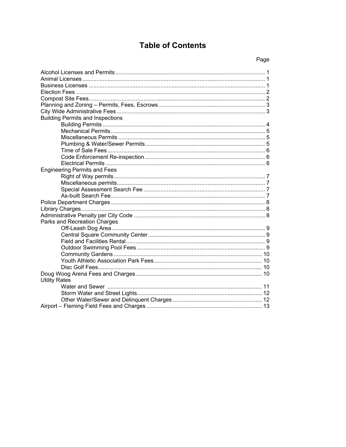# **Table of Contents**

| <b>Building Permits and Inspections</b> |
|-----------------------------------------|
|                                         |
|                                         |
|                                         |
|                                         |
|                                         |
|                                         |
|                                         |
| <b>Engineering Permits and Fees</b>     |
|                                         |
|                                         |
|                                         |
|                                         |
|                                         |
|                                         |
|                                         |
| Parks and Recreation Charges            |
|                                         |
|                                         |
|                                         |
|                                         |
|                                         |
|                                         |
|                                         |
|                                         |
| <b>Utility Rates</b>                    |
|                                         |
|                                         |
|                                         |
|                                         |
|                                         |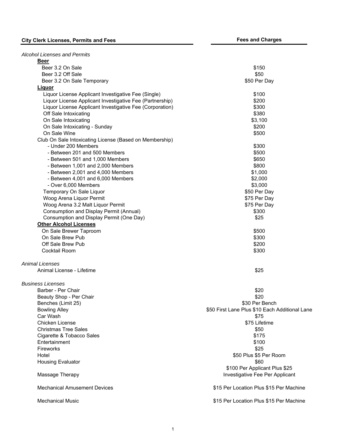| <b>Alcohol Licenses and Permits</b>                      |                                                |
|----------------------------------------------------------|------------------------------------------------|
| Beer<br>Beer 3.2 On Sale                                 |                                                |
|                                                          | \$150                                          |
| Beer 3.2 Off Sale                                        | \$50                                           |
| Beer 3.2 On Sale Temporary                               | \$50 Per Day                                   |
| Liquor                                                   |                                                |
| Liquor License Applicant Investigative Fee (Single)      | \$100                                          |
| Liquor License Applicant Investigative Fee (Partnership) | \$200                                          |
| Liquor License Applicant Investigative Fee (Corporation) | \$300                                          |
| Off Sale Intoxicating                                    | \$380                                          |
| On Sale Intoxicating                                     | \$3,100                                        |
| On Sale Intoxicating - Sunday                            | \$200                                          |
| On Sale Wine                                             | \$500                                          |
| Club On Sale Intoxicating License (Based on Membership)  |                                                |
| - Under 200 Members                                      | \$300                                          |
| - Between 201 and 500 Members                            | \$500                                          |
| - Between 501 and 1,000 Members                          | \$650                                          |
| - Between 1,001 and 2,000 Members                        | \$800                                          |
| - Between 2,001 and 4,000 Members                        | \$1,000                                        |
| - Between 4,001 and 6,000 Members                        | \$2,000                                        |
| - Over 6,000 Members                                     | \$3,000                                        |
| Temporary On Sale Liquor                                 | \$50 Per Day                                   |
| Woog Arena Liquor Permit                                 | \$75 Per Day                                   |
| Woog Arena 3.2 Malt Liquor Permit                        | \$75 Per Day                                   |
| <b>Consumption and Display Permit (Annual)</b>           | \$300                                          |
| Consumption and Display Permit (One Day)                 | \$25                                           |
| <b>Other Alcohol Licenses</b>                            |                                                |
|                                                          |                                                |
| On Sale Brewer Taproom                                   | \$500                                          |
| On Sale Brew Pub                                         | \$300                                          |
| Off Sale Brew Pub                                        | \$200                                          |
| Cocktail Room                                            | \$300                                          |
| <b>Animal Licenses</b>                                   |                                                |
| Animal License - Lifetime                                | \$25                                           |
| <b>Business Licenses</b>                                 |                                                |
| Barber - Per Chair                                       | \$20                                           |
| Beauty Shop - Per Chair                                  | \$20                                           |
| Benches (Limit 25)                                       | \$30 Per Bench                                 |
| <b>Bowling Alley</b>                                     | \$50 First Lane Plus \$10 Each Additional Lane |
| Car Wash                                                 | \$75                                           |
| Chicken License                                          | \$75 Lifetime                                  |
| <b>Christmas Tree Sales</b>                              | \$50                                           |
| Cigarette & Tobacco Sales                                | \$175                                          |
| Entertainment                                            | \$100                                          |
| Fireworks                                                | \$25                                           |
| Hotel                                                    | \$50 Plus \$5 Per Room                         |
|                                                          |                                                |
| <b>Housing Evaluator</b>                                 | \$60                                           |
|                                                          | \$100 Per Applicant Plus \$25                  |
| Massage Therapy                                          | Investigative Fee Per Applicant                |
| <b>Mechanical Amusement Devices</b>                      | \$15 Per Location Plus \$15 Per Machine        |
| <b>Mechanical Music</b>                                  | \$15 Per Location Plus \$15 Per Machine        |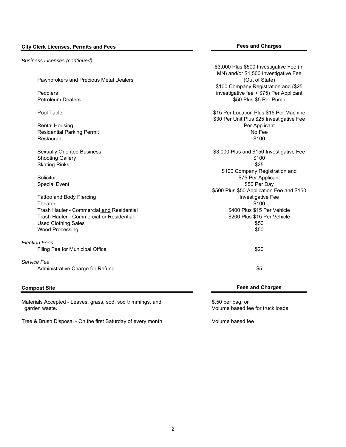### *Business Licenses (continued)*

Pawnbrokers and Precious Metal Dealers \$3,000 Plus \$500 Investigative Fee (in MN) and/or \$1,500 Investigative Fee (Out of State) Peddlers \$100 Company Registration and (\$25 investigative fee + \$75) Per Applicant Petroleum Dealers **\$50 Plus \$50 Plus \$50 Per Pump** Pool Table \$15 Per Location Plus \$15 Per Machine Rental Housing \$30 Per Unit Plus \$25 Investigative Fee Per Applicant Residential Parking Permit No Fee and Society and Society and Society and Society and Society and Society and Society and Society and Society and Society and Society and Society and Society and Society and Society and Soci Restaurant \$100 Sexually Oriented Business **\$3,000 Plus and \$150 Investigative Fee** Shooting Gallery \$100 Skating Rinks \$25 **Solicitor** \$100 Company Registration and \$75 Per Applicant Special Event \$50 Per Day \$50 Per Day \$50 Per Day \$50 Per Day \$50 Per Day \$50 Per Day Tattoo and Body Piercing \$500 Plus \$50 Application Fee and \$150 Investigative Fee Theater \$100 Trash Hauler - Commercial and Residential **\$400 Plus \$15 Per Vehicle** \$15 Per Vehicle Trash Hauler - Commercial or Residential **\$200 Plus \$15 Per Vehicle** \$15 Per Vehicle Used Clothing Sales \$50 Wood Processing \$50 *Election Fees* Filing Fee for Municipal Office \$20 *Service Fee* Administrative Charge for Refund \$5

Materials Accepted - Leaves, grass, sod, sod trimmings, and  $$.50$  per bag; or garden waste. Volume based fee for truck loads

Tree & Brush Disposal - On the first Saturday of every month Volume based fee

### **Compost Site Fees and Charges**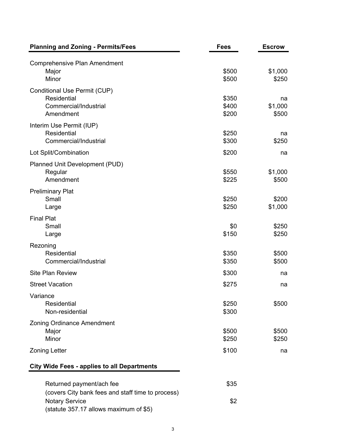| <b>Planning and Zoning - Permits/Fees</b>                                         | <b>Fees</b>             | <b>Escrow</b>          |
|-----------------------------------------------------------------------------------|-------------------------|------------------------|
| <b>Comprehensive Plan Amendment</b><br>Major<br>Minor                             | \$500<br>\$500          | \$1,000<br>\$250       |
| Conditional Use Permit (CUP)<br>Residential<br>Commercial/Industrial<br>Amendment | \$350<br>\$400<br>\$200 | na<br>\$1,000<br>\$500 |
| Interim Use Permit (IUP)<br><b>Residential</b><br>Commercial/Industrial           | \$250<br>\$300          | na<br>\$250            |
| Lot Split/Combination                                                             | \$200                   | na                     |
| Planned Unit Development (PUD)<br>Regular<br>Amendment                            | \$550<br>\$225          | \$1,000<br>\$500       |
| <b>Preliminary Plat</b><br>Small<br>Large                                         | \$250<br>\$250          | \$200<br>\$1,000       |
| <b>Final Plat</b><br>Small<br>Large                                               | \$0<br>\$150            | \$250<br>\$250         |
| Rezoning<br><b>Residential</b><br>Commercial/Industrial                           | \$350<br>\$350          | \$500<br>\$500         |
| <b>Site Plan Review</b>                                                           | \$300                   | na                     |
| <b>Street Vacation</b>                                                            | \$275                   | na                     |
| Variance<br><b>Residential</b><br>Non-residential                                 | \$250<br>\$300          | \$500                  |
| <b>Zoning Ordinance Amendment</b><br>Major<br>Minor                               | \$500<br>\$250          | \$500<br>\$250         |
| <b>Zoning Letter</b>                                                              | \$100                   | na                     |
| <b>City Wide Fees - applies to all Departments</b>                                |                         |                        |
| Returned payment/ach fee<br>(covers City bank fees and staff time to process)     | \$35                    |                        |

3

Notary Service \$2

(statute 357.17 allows maximum of \$5)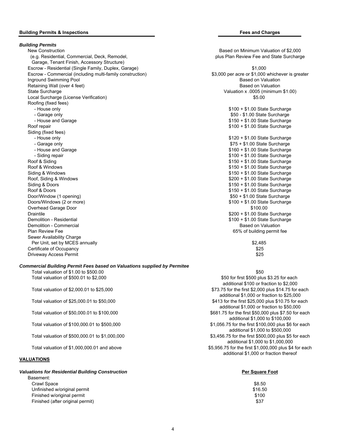#### **Building Permits & Inspections Fees and Charges**

*Building Permits* New Construction Based on Minimum Valuation of \$2,000 (e.g. Residential, Commercial, Deck, Remodel, plus Plan Review Fee and State Surcharge Garage, Tenant Finish, Accessory Structure) Escrow - Residential (Single Family, Duplex, Garage) \$1,000 Escrow - Commercial (including multi-family construction) \$3,000 per acre or \$1,000 whichever is greater **Inground Swimming Pool** Based on Valuation Community Community Community Community Community Community Community Community Community Community Community Community Community Community Community Community Community Communit Retaining Wall (over 4 feet) **Based on Valuation** Based on Valuation State Surcharge Valuation x .0005 (minimum \$1.00) Local Surcharge (License Verification)  $$5.00$ Roofing (fixed fees) - House only **All and State Surcharge only and State Surcharge only and State Surcharge only and State Surcharge** - Garage only **50 - \$1.00 State Surcharge**  $$50 - $1.00$  State Surcharge - House and Garage **\$150 + \$1.00 State Surcharge** \$150 + \$1.00 State Surcharge Roof repair **\$100 + \$1.00 State Surcharge** Reserves the Surcharge State Surcharge State Surcharge Surcharge State Surcharge Surcharge State Surcharge State Surcharge State Surcharge State Surcharge State Surcharge State Su Siding (fixed fees) - House only **All and State Surcharge only and State Surcharge State Surcharge only and State Surcharge State Surcharge**  - Garage only \$75 + \$1.00 State Surcharge - Siding repair **\$100 + \$1.00 State Surcharge** Roof & Siding **\$150 + \$1.00 State Surcharge** \$150 + \$1.00 State Surcharge Roof & Windows **\$150 + \$1.00 State Surcharge**  $$150 + $1.00$  State Surcharge Siding & Windows **but a state Surcharge State Surcharge State Surcharge State Surcharge State Surcharge State Surcharge** Roof, Siding & Windows **\$200 + \$1.00 State Surcharge**  $$200 + $1.00$  State Surcharge Siding & Doors \$150 + \$1.00 State Surcharge \$150 + \$1.00 State Surcharge Roof & Doors **\$150 + \$1.00 State Surcharge** Door/Window (1 opening) **but a state Surcharge**  $$50 + $1.00$  State Surcharge Doors/Windows (2 or more) **\$100 + \$1.00 State Surcharge** \$100 + \$1.00 State Surcharge Overhead Garage Door \$100.00 Draintile **\$200 + \$1.00 State Surcharge** \$200 + \$1.00 State Surcharge Demolition - Residential **Democration - Residential According to the Control of Control Control of Control Control Control of Control Control of State Surcharge Control of State Surcharge Control of Control of State Surcha** Demolition - Commercial Based on Valuation Commercial Based on Valuation Commercial Based on Valuation Plan Review Fee 65% of building permit fee Sewer Availability Charge Per Unit, set by MCES annually  $$2,485$ **Certificate of Occupancy**  $$25$ Driveway Access Permit \$25

#### *Commercial Building Permit Fees based on Valuations supplied by Permitee*

Total valuation of  $$1.00$  to  $$500.00$   $$50$ 

#### **VALUATIONS**

#### *Valuations for Residential Building Construction* **<b>Per Square Foot Per Square Foot**

Basement: Crawl Space \$8.50 Unfinished w/original permit  $$16.50$  Finished w/original permit \$100 Finished (after original permit)  $$37$ 

 $$160 + $1.00$  State Surcharge

Total valuation of \$500.01 to \$2,000 \$50,000 \$500 plus \$3.25 for each \$500 plus \$3.25 for each additional \$100 or fraction to \$2,000 Total valuation of \$2,000.01 to \$25,000 \$73.75 for the first \$2,000 plus \$14.75 for each additional \$1,000 or fraction to \$25,000 Total valuation of \$25,000.01 to \$50,000 \$413 for the first \$25,000 plus \$10.75 for each additional \$1,000 or fraction to \$50,000 Total valuation of \$50,000.01 to \$100,000 \$681.75 for the first \$50,000 plus \$7.50 for each additional \$1,000 to \$100,000 Total valuation of \$100,000.01 to \$500,000 \$1,056.75 for the first \$100,000 plus \$6 for each additional \$1,000 to \$500,000 Total valuation of \$500,000.01 to \$1,000,000 \$3,456.75 for the first \$500,000 plus \$5 for each additional \$1,000 to \$1,000,000 Total valuation of \$1,000,000.01 and above \$5,956.75 for the first \$1,000,000 plus \$4 for each additional \$1,000 or fraction thereof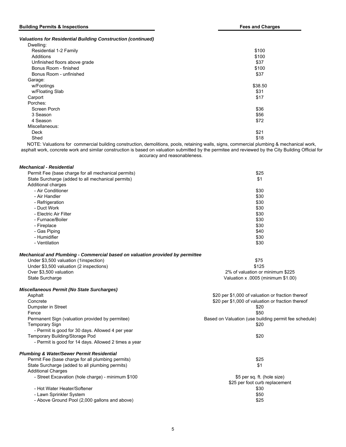#### **Building Permits & Inspections Fees and Charges**

*Valuations for Residential Building Construction (continued)*

| Dwelling:                                                                                                            |               |
|----------------------------------------------------------------------------------------------------------------------|---------------|
| Residential 1-2 Family                                                                                               | \$100         |
| Additions                                                                                                            | \$100         |
| Unfinished floors above grade                                                                                        | \$37          |
| Bonus Room - finished                                                                                                | \$100         |
| Bonus Room - unfinished                                                                                              | \$37          |
| Garage:                                                                                                              |               |
| w/Footings                                                                                                           | \$38.50       |
| w/Floating Slab                                                                                                      | \$31          |
| Carport                                                                                                              | \$17          |
| Porches:                                                                                                             |               |
| Screen Porch                                                                                                         | \$36          |
| 3 Season                                                                                                             | \$56          |
| 4 Season                                                                                                             | \$72          |
| Miscellaneous:                                                                                                       |               |
| Deck                                                                                                                 | \$21          |
| Shed                                                                                                                 | \$18          |
| the contract of the contract of the contract of the contract of the contract of the contract of the contract of<br>. | $\cdots$<br>. |

NOTE: Valuations for commercial building construction, demolitions, pools, retaining walls, signs, commercial plumbing & mechanical work, asphalt work, concrete work and similar construction is based on valuation submitted by the permitee and reviewed by the City Building Official for accuracy and reasonableness.

| Mechanical - Residential                            |      |
|-----------------------------------------------------|------|
| Permit Fee (base charge for all mechanical permits) | \$25 |
| State Surcharge (added to all mechanical permits)   | \$1  |
| Additional charges                                  |      |
| - Air Conditioner                                   | \$30 |
| - Air Handler                                       | \$30 |
| - Refrigeration                                     | \$30 |
| - Duct Work                                         | \$30 |
| - Electric Air Filter                               | \$30 |
| - Furnace/Boiler                                    | \$30 |
| - Fireplace                                         | \$30 |
| - Gas Piping                                        | \$40 |
| - Humidifier                                        | \$30 |
| - Ventilation                                       | \$30 |

#### *Mechanical and Plumbing - Commercial based on valuation provided by permittee*

| Under \$3,500 valuation (1 inspection)  | \$75                                 |
|-----------------------------------------|--------------------------------------|
| Under \$3,500 valuation (2 inspections) | \$125                                |
| Over \$3,500 valuation                  | 2% of valuation or minimum \$225     |
| State Surcharge                         | Valuation $x$ .0005 (minimum \$1.00) |
|                                         |                                      |

*Miscellaneous Permit (No State Surcharges)*

| Asphalt                                              | \$20 per \$1,000 of valuation or fraction thereof     |  |  |
|------------------------------------------------------|-------------------------------------------------------|--|--|
| Concrete                                             | \$20 per \$1,000 of valuation or fraction thereof     |  |  |
| Dumpster in Street                                   | \$20                                                  |  |  |
| Fence                                                | \$50                                                  |  |  |
| Permanent Sign (valuation provided by permitee)      | Based on Valuation (use building permit fee schedule) |  |  |
| Temporary Sign                                       | \$20                                                  |  |  |
| - Permit is good for 30 days. Allowed 4 per year     |                                                       |  |  |
| Temporary Building/Storage Pod                       | \$20                                                  |  |  |
| - Permit is good for 14 days. Allowed 2 times a year |                                                       |  |  |
| <b>Plumbing &amp; Water/Sewer Permit Residential</b> |                                                       |  |  |
| Permit Fee (base charge for all plumbing permits)    | \$25                                                  |  |  |
| State Surcharge (added to all plumbing permits)      | \$1                                                   |  |  |
| <b>Additional Charges</b>                            |                                                       |  |  |
| - Street Excavation (hole charge) - minimum \$100    | \$5 per sq. ft. (hole size)                           |  |  |
|                                                      | \$25 per foot curb replacement                        |  |  |
| - Hot Water Heater/Softener                          | \$30                                                  |  |  |
| - Lawn Sprinkler System                              | \$50                                                  |  |  |
| - Above Ground Pool (2,000 gallons and above)        | \$25                                                  |  |  |
|                                                      |                                                       |  |  |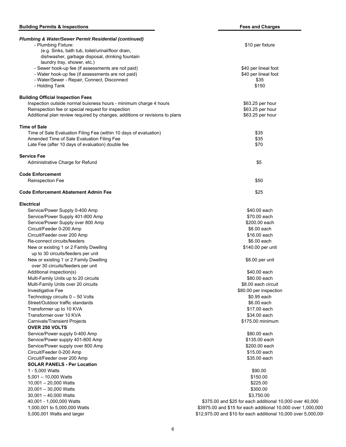| <b>Plumbing &amp; Water/Sewer Permit Residential (continued)</b><br>- Plumbing Fixture: | \$10 per fixture                                               |
|-----------------------------------------------------------------------------------------|----------------------------------------------------------------|
| (e.g. Sinks, bath tub, toilet/urinal/floor drain,                                       |                                                                |
| dishwasher, garbage disposal, drinking fountain                                         |                                                                |
| laundry tray, shower, etc.)                                                             |                                                                |
| - Sewer hook-up fee (if assessments are not paid)                                       | \$40 per lineal foot                                           |
| - Water hook-up fee (if assessments are not paid)                                       | \$40 per lineal foot                                           |
| - Water/Sewer - Repair, Connect, Disconnect                                             | \$35                                                           |
| - Holding Tank                                                                          | \$150                                                          |
| <b>Building Official Inspection Fees</b>                                                |                                                                |
| Inspection outside normal buisness hours - minimum charge 4 hours                       | \$63.25 per hour                                               |
| Reinspection fee or special request for inspection                                      | \$63.25 per hour                                               |
| Additional plan review required by changes, additions or revisions to plans             | \$63.25 per hour                                               |
| <b>Time of Sale</b>                                                                     |                                                                |
| Time of Sale Evaluation Filing Fee (within 10 days of evaluation)                       | \$35                                                           |
| Amended Time of Sale Evaluation Filing Fee                                              | \$35                                                           |
| Late Fee (after 10 days of evaluation) double fee                                       | \$70                                                           |
|                                                                                         |                                                                |
| Service Fee                                                                             |                                                                |
| Administrative Charge for Refund                                                        | \$5                                                            |
| <b>Code Enforcement</b>                                                                 |                                                                |
| Reinspection Fee                                                                        | \$50                                                           |
|                                                                                         |                                                                |
| Code Enforcement Abatement Admin Fee                                                    | \$25                                                           |
| <b>Electrical</b>                                                                       |                                                                |
| Service/Power Supply 0-400 Amp                                                          | \$40.00 each                                                   |
| Service/Power Supply 401-800 Amp                                                        | \$70.00 each                                                   |
| Service/Power Supply over 800 Amp                                                       | \$200.00 each                                                  |
| Circuit/Feeder 0-200 Amp                                                                | \$8.00 each                                                    |
| Circuit/Feeder over 200 Amp                                                             | \$16.00 each                                                   |
| Re-connect circuits/feeders                                                             | \$6.00 each                                                    |
| New or existing 1 or 2 Family Dwelling                                                  | \$140.00 per unit                                              |
| up to 30 circuits/feeders per unit                                                      |                                                                |
| New or existing 1 or 2 Family Dwelling                                                  | \$8.00 per unit                                                |
| over 30 circuits/feeders per unit                                                       |                                                                |
| Additional inspection(s)                                                                | \$40.00 each                                                   |
| Multi-Family Units up to 20 circuits                                                    | \$80.00 each                                                   |
| Multi-Family Units over 20 circuits                                                     | \$8.00 each circuit                                            |
| Investigative Fee                                                                       | \$80.00 per inspection                                         |
| Technology circuits 0 - 50 Volts                                                        | \$0.95 each                                                    |
| Street/Outdoor traffic standards                                                        | \$6.00 each                                                    |
| Transformer up to 10 KVA                                                                | \$17.00 each                                                   |
| Transformer over 10 KVA                                                                 | \$34.00 each                                                   |
| Carnivals/Transient Projects                                                            | \$175.00 minimum                                               |
| <b>OVER 250 VOLTS</b>                                                                   |                                                                |
| Service/Power supply 0-400 Amp                                                          | \$80.00 each                                                   |
| Service/Power supply 401-800 Amp                                                        | \$135.00 each                                                  |
| Service/Power supply over 800 Amp                                                       | \$200.00 each                                                  |
| Circuit/Feeder 0-200 Amp                                                                | \$15.00 each                                                   |
| Circuit/Feeder over 200 Amp                                                             | \$35.00 each                                                   |
| <b>SOLAR PANELS - Per Location</b>                                                      |                                                                |
| 1 - 5,000 Watts                                                                         | \$90.00                                                        |
| $5,001 - 10,000$ Watts                                                                  | \$150.00                                                       |
| $10,001 - 20,000$ Watts                                                                 | \$225.00                                                       |
| 20,001 - 30,000 Watts                                                                   | \$300.00                                                       |
| $30,001 - 40,000$ Watts                                                                 | \$3,750.00                                                     |
| 40,001 - 1,000,000 Watts                                                                | \$375.00 and \$25 for each additional 10,000 over 40,000       |
| 1,000,001 to 5,000,000 Watts                                                            | \$3975.00 and \$15 for each additional 10,000 over 1,000,000   |
| 5,000,001 Watts and larger                                                              | \$12,975.00 and \$10 for each additional 10,000 over 5,000,000 |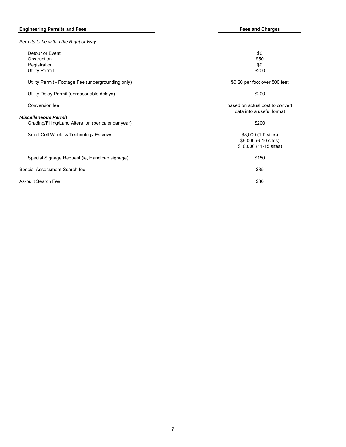### **Engineering Permits and Fees Fees and Charges**

| Permits to be within the Right of Way                                              |                                                                       |
|------------------------------------------------------------------------------------|-----------------------------------------------------------------------|
| Detour or Event<br>Obstruction<br>Registration<br><b>Utility Permit</b>            | \$0<br>\$50<br>\$0<br>\$200                                           |
| Utility Permit - Footage Fee (undergrounding only)                                 | \$0.20 per foot over 500 feet                                         |
| Utility Delay Permit (unreasonable delays)                                         | \$200                                                                 |
| Conversion fee                                                                     | based on actual cost to convert<br>data into a useful format          |
| <b>Miscellaneous Permit</b><br>Grading/Filling/Land Alteration (per calendar year) | \$200                                                                 |
| Small Cell Wireless Technology Escrows                                             | \$8,000 (1-5 sites)<br>\$9,000 (6-10 sites)<br>\$10,000 (11-15 sites) |
| Special Signage Request (ie, Handicap signage)                                     | \$150                                                                 |
| Special Assessment Search fee                                                      | \$35                                                                  |
| As-built Search Fee                                                                | \$80                                                                  |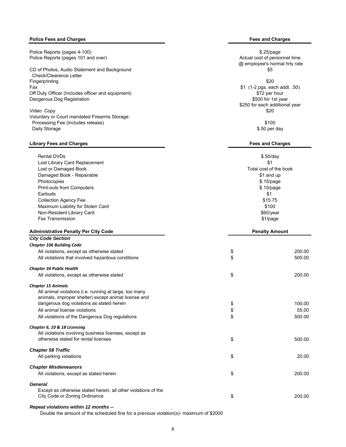### **Police Fees and Charges Fees and Charges**

Police Reports (pages 4-100) **\$25/page** 3.25/page 3.25/page 3.25/page 3.25/page 3.25/page 3.25/page 3.25/page 3.25/page 3.25/page 3.25/page 3.25/page 3.25/page 3.25/page 3.25/page 3.25/page 3.25/page 3.25/page 3.25/page 3. Police Reports (pages 101 and over) and the state of personnel time and over a state of personnel time and over  $\sim$  Actual cost of personnel time

CD of Photos, Audio Statement and Background **\$5** and \$5 and \$5 and \$5 and \$5 and \$5 and \$5 and \$5 and \$5 and \$5 and \$5 and \$5 and \$5 and \$5 and \$5 and \$5 and \$5 and \$5 and \$5 and \$5 and \$5 and \$5 and \$5 and \$6 and \$6 and Check/Clearance Letter Fingerprinting \$20 Fax  $\frac{1}{2}$  (1-2 pgs. each addl. .50)<br>Off Duty Officer (Includes officer and equipment)  $\frac{1}{2}$  (1-2 pgs. each addl. .50) Off Duty Officer (Includes officer and equipment) Dangerous Dog Registration **by the COV of the COV of the COV** of the S500 for 1st year

Video Copy \$20 Voluntary or Court mandated Firearms Storage: Processing Fee (includes release)  $$100$ Daily Storage \$.50 per day \$.50 per day \$.50 per day \$.50 per day \$.50 per day \$.50 per day \$.50 per day \$.50 per day \$.50 per day \$.50 per day \$.50 per day \$.50 per day \$.50 per day \$.50 per day \$.50 per day \$.50 per day

#### **Library Fees and Charges Fees and Charges**

| Chapter 34 Public Health                          |                        |        |
|---------------------------------------------------|------------------------|--------|
| All violations that involved hazardous conditions | \$                     | 500.00 |
| All violations, except as otherwise stated        | \$                     | 200.00 |
| <b>Chapter 106 Building Code</b>                  |                        |        |
| <b>City Code Section</b>                          |                        |        |
| <b>Administrative Penalty Per City Code</b>       | <b>Penalty Amount</b>  |        |
| <b>Fax Transmission</b>                           | \$1/page               |        |
| Non-Resident Library Card                         | $$60$ /year            |        |
| Maximum Liability for Stolen Card                 | \$100                  |        |
| <b>Collection Agency Fee</b>                      | \$15.75                |        |
| Earbuds                                           | \$1                    |        |
| Print-outs from Computers                         | $$.15$ /page           |        |
| Photocopies                                       | $$.15$ /page           |        |
| Damaged Book - Repairable                         | \$1 and up             |        |
| Lost or Damaged Book                              | Total cost of the book |        |
| Lost Library Card Replacement                     | \$1                    |        |
| <b>Rental DVDs</b>                                | $$.50$ /day            |        |

## *Chapter 15 Animals* All animal violations (i.e. running at large, too many

| animals, improper shelter) except animal license and         |              |
|--------------------------------------------------------------|--------------|
| dangerous dog violations as stated herein                    | \$<br>100.00 |
| All animal license violations                                | \$<br>55.00  |
| All violations of the Dangerous Dog regulations              | \$<br>500.00 |
| Chapter 6, 10 & 18 Licensing                                 |              |
| All violations involving business licenses, except as        |              |
| otherwise stated for rental licenses                         | \$<br>500.00 |
| <b>Chapter 58 Traffic</b>                                    |              |
| All parking violations                                       | \$<br>20.00  |
| <b>Chapter Misdemeanors</b>                                  |              |
| All violations, except as stated herein                      | \$<br>200.00 |
| General                                                      |              |
| Freent on otherwise stated beveloped attenuateletions of the |              |

All violations, except as otherwise stated  $\sim$  200.00

Except as otherwise stated herein, all other violations of the City Code or Zoning Ordinance \$ 200.00

#### *Repeat violations within 12 months --*

Double the amount of the scheduled fine for a previous violation(s)- maximum of \$2000

@ employee's normal hrly rate

\$250 for each additional year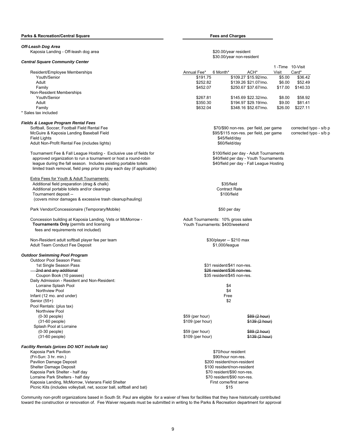#### *Off-Leash Dog Area* Kaposia Landing - Off-leash dog area  $\overline{\phantom{2}}$   $\overline{\phantom{2}}$   $\overline{\phantom{2}}$   $\overline{\phantom{2}}$   $\overline{\phantom{2}}$   $\overline{\phantom{2}}$   $\overline{\phantom{2}}$   $\overline{\phantom{2}}$   $\overline{\phantom{2}}$   $\overline{\phantom{2}}$   $\overline{\phantom{2}}$   $\overline{\phantom{2}}$   $\overline{\phantom{2}}$   $\overline{\phantom{2}}$   $\overline{\phantom{2}}$   $\overline{\$ \$30.00/year non-resident *Central Square Community Center* Resident/Employee Memberships **Annual Fee**\* 6 Month\* ACH\* ACH\* 1 -Time 10-Visit Visit Card\* Youth/Senior \$191.75 \$109.27 \$15.92/mo. \$5.00 \$36.42 Adult \$252.82 \$139.26 \$21.07/mo. \$6.00 \$52.49 Family \$452.07 \$250.67 \$37.67/mo. \$17.00 \$140.33 Non-Resident Memberships Youth/Senior \$8.00 \$58.92 \$145.69 \$267.81 \$145.69 \$22.32/mo. \$8.00 \$58.92 Adult **1980.30 194.97 \$29.19/mo.** \$350.30 \$194.97 \$29.19/mo. \$9.00 \$81.41 Family \$632.04 \$348.16 \$52.67/mo. \$26.00 \$227.11 \* Sales tax included *Fields & League Program Rental Fees* Softball, Soccer, Football Field Rental Fee \$70/\$90 non-res. per field, per game corrected typo - s/b p<br>McGuire & Kaposia Landing Baseball Field \$70.90 modes when the same field, per game corrected typo - s/b p McGuire & Kaposia Landing Baseball Field \$95/\$115 non-res. per field, per game corrected typo - s/b p Field Lights \$45/field/day Adult Non-Profit Rental Fee (includes lights) **\$60/field/day** \$60/field/day Tournament Fee & Fall League Hosting - Exclusive use of fields for \$100/field per day - Adult Tournaments<br>\$40/field per day - Youth Tournaments and tournament or host a round-robin approved organization to run a tournament or host a round-robin league during the fall season. Includes existing portable toilets \$40/field per day - Fall League Hosting limited trash removal, field prep prior to play each day (if applicable) Extra Fees for Youth & Adult Tournaments: Additional field preparation (drag & chalk) \$35/field Additional portable toilets and/or cleanings Contract Rate Contract Rate Tournament deposit -- \$100/field \$100/field \$100/field \$100/field \$100 field \$100 field \$100 field \$100 field \$100 field \$100 field \$100 field \$100 field \$100 field \$100 field \$100 field \$100 field \$100 field \$100 field \$1 (covers minor damages & excessive trash cleanup/hauling) Park Vendor/Concessionaire (Temporary/Mobile) 650 per day Concession building at Kaposia Landing, Vets or McMorrow - Adult Tournaments: 10% gross sales<br> **Tournaments Only** (permits and licensing on McMorrow - Adult Tournaments: \$400/weekend **Tournaments Only** (permits and licensing fees and requirements not included) Non-Resident adult softball player fee per team  $$30/player - $210$  max Adult Team Conduct Fee Deposit **\$1,000/league** \$1,000/league *Outdoor Swimming Pool Program* Outdoor Pool Season Pass: 1st Single Season Pass \$31 resident/\$41 non-res. 2nd and any additional \$26 resident/\$36 non-res. Coupon Book (10 passes) Daily Admission - Resident and Non-Resident: Lorraine Splash Pool \$4 Northview Pool **\$4** Infant (12 mo. and under) **Free** Senior  $(55+)$  \$2 Pool Rentals: (plus tax) Northview Pool  $(0-30 \text{ people})$   $$59 \text{ (per hour)}$   $$59 \text{ (per hour)}$  (31-60 people) \$109 (per hour) \$139 (2 hour) Splash Pool at Lorraine (0-30 people) \$59 (per hour) \$89 (2 hour) (31-60 people) \$109 (per hour) \$139 (2 hour) *Facility Rentals (prices DO NOT include tax)* Kaposia Park Pavilion **1986** The State of the State of the State of the State of the State of the State of the State of the State of the State of the State of the State of the State of the State of the State of the State o (Fri-Sun: 3 hr. min.) \$90/hour non-res. Pavilion Damage Deposit **by a vertex of the COVID-RESIDENT COVID-RESIDENT** SCOUTS AND THE STATE SCOUTS AND THE SCOUTS A Shelter Damage Deposit **\$100 resident/non-resident** Kaposia Park Shelter - half day **\$70 resident/\$90 non-res.** \$70 resident/\$90 non-res. Lorraine Park Shelters - half day \$70 resident/\$90 non-res. Kaposia Landing, McMorrow, Veterans Field Shelter First come First come/first serve

Community non-profit organizations based in South St. Paul are eligible for a waiver of fees for facilities that they have historically contributed toward the construction or renovation of. Fee Waiver requests must be submitted in writing to the Parks & Recreation department for approval

Picnic Kits (includes volleyball, net, soccer ball, softball and bat)  $$15$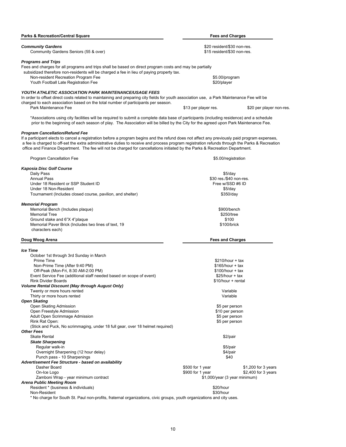| <b>Parks &amp; Recreation/Central Square</b>                                                                                                                                                                                                                                    | <b>Fees and Charges</b>                                    |                                            |
|---------------------------------------------------------------------------------------------------------------------------------------------------------------------------------------------------------------------------------------------------------------------------------|------------------------------------------------------------|--------------------------------------------|
| <b>Community Gardens</b>                                                                                                                                                                                                                                                        |                                                            |                                            |
| Community Gardens Seniors (55 & over)                                                                                                                                                                                                                                           | \$20 resident/\$30 non-res.<br>\$15 resident/\$30 non-res. |                                            |
| <b>Programs and Trips</b>                                                                                                                                                                                                                                                       |                                                            |                                            |
| Fees and charges for all programs and trips shall be based on direct program costs and may be partially                                                                                                                                                                         |                                                            |                                            |
| subsidized therefore non-residents will be charged a fee in lieu of paying property tax.                                                                                                                                                                                        |                                                            |                                            |
| Non-resident Recreation Program Fee<br>Youth Football Late Registration Fee                                                                                                                                                                                                     | \$5.00/program<br>\$20/player                              |                                            |
|                                                                                                                                                                                                                                                                                 |                                                            |                                            |
| YOUTH ATHLETIC ASSOCIATION PARK MAINTENANCE/USAGE FEES<br>In order to offset direct costs related to maintaining and preparing city fields for youth association use, a Park Maintenance Fee will be                                                                            |                                                            |                                            |
| charged to each association based on the total number of participants per season.                                                                                                                                                                                               |                                                            |                                            |
| Park Maintenance Fee                                                                                                                                                                                                                                                            | \$13 per player res.                                       | \$20 per player non-res.                   |
| *Associations using city facilities will be required to submit a complete data base of participants (including residence) and a schedule<br>prior to the beginning of each season of play. The Association will be billed by the City for the agreed upon Park Maintenance Fee. |                                                            |                                            |
| Program Cancellation/Refund Fee                                                                                                                                                                                                                                                 |                                                            |                                            |
| If a participant elects to cancel a registration before a program begins and the refund does not affect any previously paid program expenses,                                                                                                                                   |                                                            |                                            |
| a fee is charged to off-set the extra administrative duties to receive and process program registration refunds through the Parks & Recreation                                                                                                                                  |                                                            |                                            |
| office and Finance Department. The fee will not be charged for cancellations initiated by the Parks & Recreation Department.                                                                                                                                                    |                                                            |                                            |
| Program Cancellation Fee                                                                                                                                                                                                                                                        | \$5.00/registration                                        |                                            |
| Kaposia Disc Golf Course                                                                                                                                                                                                                                                        |                                                            |                                            |
| Daily Pass                                                                                                                                                                                                                                                                      | \$5/day                                                    |                                            |
| <b>Annual Pass</b>                                                                                                                                                                                                                                                              | \$30 res./\$40 non-res.                                    |                                            |
| Under 18 Resident or SSP Student ID                                                                                                                                                                                                                                             | Free w/SSD #6 ID                                           |                                            |
| Under 18 Non-Resident                                                                                                                                                                                                                                                           | \$5/day                                                    |                                            |
| Tournament (Includes closed course, pavilion, and shelter)                                                                                                                                                                                                                      | \$350/day                                                  |                                            |
| <b>Memorial Program</b>                                                                                                                                                                                                                                                         |                                                            |                                            |
| Memorial Bench (Includes plaque)                                                                                                                                                                                                                                                | \$900/bench                                                |                                            |
| <b>Memorial Tree</b>                                                                                                                                                                                                                                                            | \$250/tree                                                 |                                            |
| Ground stake and 6"X 4"plaque                                                                                                                                                                                                                                                   | \$100                                                      |                                            |
| Memorial Paver Brick (Includes two lines of text, 19<br>characters each)                                                                                                                                                                                                        | \$100/brick                                                |                                            |
| Doug Woog Arena                                                                                                                                                                                                                                                                 | <b>Fees and Charges</b>                                    |                                            |
| lce Time                                                                                                                                                                                                                                                                        |                                                            |                                            |
| October 1st through 3rd Sunday in March                                                                                                                                                                                                                                         |                                                            |                                            |
| Prime Time                                                                                                                                                                                                                                                                      | $$210/hour + tax$                                          |                                            |
| Non-Prime Time (After 9:40 PM)                                                                                                                                                                                                                                                  | \$165/hour + tax                                           |                                            |
| Off-Peak (Mon-Fri, 8:30 AM-2:00 PM)                                                                                                                                                                                                                                             | $$100/hour + tax$                                          |                                            |
| Event Service Fee (additional staff needed based on scope of event)                                                                                                                                                                                                             | $$25/hour + tax$                                           |                                            |
| Rink Divider Boards                                                                                                                                                                                                                                                             | \$10/hour + rental                                         |                                            |
| <b>Volume Rental Discount (May through August Only)</b>                                                                                                                                                                                                                         |                                                            |                                            |
| Twenty or more hours rented                                                                                                                                                                                                                                                     | Variable                                                   |                                            |
| Thirty or more hours rented<br>Open Skating                                                                                                                                                                                                                                     | Variable                                                   |                                            |
| Open Skating Admission                                                                                                                                                                                                                                                          | \$5 per person                                             |                                            |
| Open Freestyle Admission                                                                                                                                                                                                                                                        | \$10 per person                                            |                                            |
| Adult Open Scrimmage Admission                                                                                                                                                                                                                                                  | \$5 per person                                             |                                            |
| Rink Rat Open:                                                                                                                                                                                                                                                                  | \$5 per person                                             |                                            |
| (Stick and Puck, No scrimmaging, under 18 full gear, over 18 helmet required)                                                                                                                                                                                                   |                                                            |                                            |
| Other Fees                                                                                                                                                                                                                                                                      |                                                            |                                            |
| <b>Skate Rental</b>                                                                                                                                                                                                                                                             | \$2/pair                                                   |                                            |
| <b>Skate Sharpening</b>                                                                                                                                                                                                                                                         |                                                            |                                            |
| Regular walk-in                                                                                                                                                                                                                                                                 | \$5/pair                                                   |                                            |
| Overnight Sharpening (12 hour delay)                                                                                                                                                                                                                                            | \$4/pair                                                   |                                            |
| Punch pass - 10 Sharpenings                                                                                                                                                                                                                                                     | \$40                                                       |                                            |
| Advertisement Fee Structure - based on availability<br>Dasher Board                                                                                                                                                                                                             |                                                            |                                            |
| On-Ice Logo                                                                                                                                                                                                                                                                     | \$500 for 1 year<br>\$900 for 1 year                       | \$1,200 for 3 years<br>\$2,400 for 3 years |
| Zamboni Wrap - year minimum contract                                                                                                                                                                                                                                            | \$1,000/year (3 year minimum)                              |                                            |
| Arena Public Meeting Room                                                                                                                                                                                                                                                       |                                                            |                                            |
| Resident * (business & individuals)                                                                                                                                                                                                                                             | \$20/hour                                                  |                                            |
| Non-Resident                                                                                                                                                                                                                                                                    | \$30/hour                                                  |                                            |
| * No charge for South St. Paul non-profits, fraternal organizations, civic groups, youth organizations and city uses.                                                                                                                                                           |                                                            |                                            |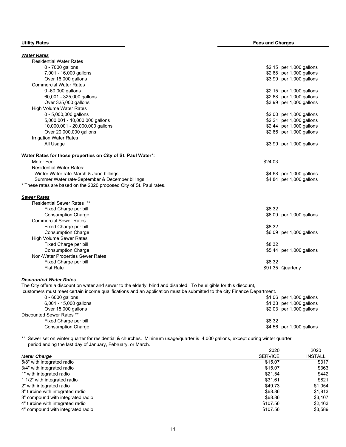| <b>Utility Rates</b> |  |
|----------------------|--|
|----------------------|--|

| <b>Water Rates</b>                                                                                                     |         |                          |
|------------------------------------------------------------------------------------------------------------------------|---------|--------------------------|
| <b>Residential Water Rates</b>                                                                                         |         |                          |
| 0 - 7000 gallons                                                                                                       |         | \$2.15 per 1,000 gallons |
| 7,001 - 16,000 gallons                                                                                                 |         | \$2.68 per 1,000 gallons |
| Over 16,000 gallons                                                                                                    |         | \$3.99 per 1,000 gallons |
| <b>Commercial Water Rates</b>                                                                                          |         |                          |
| 0-60,000 gallons                                                                                                       |         | \$2.15 per 1,000 gallons |
| 60,001 - 325,000 gallons                                                                                               |         | \$2.68 per 1,000 gallons |
| Over 325,000 gallons                                                                                                   |         | \$3.99 per 1,000 gallons |
| High Volume Water Rates                                                                                                |         |                          |
| 0 - 5,000,000 gallons                                                                                                  |         | \$2.00 per 1,000 gallons |
| 5,000,001 - 10,000,000 gallons                                                                                         |         | \$2.21 per 1,000 gallons |
| 10,000,001 - 20,000,000 gallons                                                                                        |         | \$2.44 per 1,000 gallons |
| Over 20,000,000 gallons                                                                                                |         | \$2.66 per 1,000 gallons |
| <b>Irrigation Water Rates</b>                                                                                          |         |                          |
| All Usage                                                                                                              |         | \$3.99 per 1,000 gallons |
| Water Rates for those properties on City of St. Paul Water*:                                                           |         |                          |
| Meter Fee                                                                                                              | \$24.03 |                          |
| <b>Residential Water Rates:</b>                                                                                        |         |                          |
| Winter Water rate-March & June billings                                                                                |         | \$4.68 per 1,000 gallons |
| Summer Water rate-September & December billings                                                                        |         | \$4.84 per 1,000 gallons |
| * These rates are based on the 2020 proposed City of St. Paul rates.                                                   |         |                          |
| <b>Sewer Rates</b>                                                                                                     |         |                          |
| <b>Residential Sewer Rates **</b>                                                                                      |         |                          |
| Fixed Charge per bill                                                                                                  | \$8.32  |                          |
| <b>Consumption Charge</b>                                                                                              |         | \$6.09 per 1,000 gallons |
| <b>Commercial Sewer Rates</b>                                                                                          |         |                          |
| Fixed Charge per bill                                                                                                  | \$8.32  |                          |
| <b>Consumption Charge</b>                                                                                              |         | \$6.09 per 1,000 gallons |
| <b>High Volume Sewer Rates</b>                                                                                         |         |                          |
| Fixed Charge per bill                                                                                                  | \$8.32  |                          |
| <b>Consumption Charge</b>                                                                                              |         | \$5.44 per 1,000 gallons |
| Non-Water Properties Sewer Rates                                                                                       |         |                          |
| Fixed Charge per bill                                                                                                  | \$8.32  |                          |
| <b>Flat Rate</b>                                                                                                       |         | \$91.35 Quarterly        |
| <b>Discounted Water Rates</b>                                                                                          |         |                          |
| The City offers a discount on water and sewer to the elderly, blind and disabled. To be eligible for this discount,    |         |                          |
| customers must meet certain income qualifications and an application must be submitted to the city Finance Department. |         |                          |
| 0 - 6000 gallons                                                                                                       |         | \$1.06 per 1,000 gallons |

| $0 - 6000$ gallons        | \$1.06 per 1,000 gallons |
|---------------------------|--------------------------|
| 6,001 - 15,000 gallons    | \$1.33 per 1,000 gallons |
| Over 15,000 gallons       | \$2.03 per 1,000 gallons |
| Discounted Sewer Rates ** |                          |
| Fixed Charge per bill     | \$8.32                   |
| <b>Consumption Charge</b> | \$4.56 per 1,000 gallons |

\*\* Sewer set on winter quarter for residential & churches. Minimum usage/quarter is 4,000 gallons, except during winter quarter period ending the last day of January, February, or March.

|                                   | 2020           | 2020           |
|-----------------------------------|----------------|----------------|
| <b>Meter Charge</b>               | <b>SERVICE</b> | <b>INSTALL</b> |
| 5/8" with integrated radio        | \$15.07        | \$317          |
| 3/4" with integrated radio        | \$15.07        | \$363          |
| 1" with integrated radio          | \$21.54        | \$442          |
| 1 1/2" with integrated radio      | \$31.61        | \$821          |
| 2" with integrated radio          | \$49.73        | \$1,054        |
| 3" turbine with integrated radio  | \$68.86        | \$1,813        |
| 3" compound with integrated radio | \$68.86        | \$3.107        |
| 4" turbine with integrated radio  | \$107.56       | \$2.463        |
| 4" compound with integrated radio | \$107.56       | \$3.589        |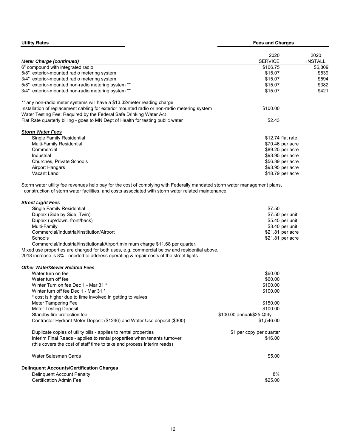| <b>Utility Rates</b>                                                                                                                                                                                                            | <b>Fees and Charges</b> |                |  |
|---------------------------------------------------------------------------------------------------------------------------------------------------------------------------------------------------------------------------------|-------------------------|----------------|--|
|                                                                                                                                                                                                                                 | 2020                    | 2020           |  |
| <b>Meter Charge (continued)</b>                                                                                                                                                                                                 | <b>SERVICE</b>          | <b>INSTALL</b> |  |
| 6" compound with integrated radio                                                                                                                                                                                               | \$166.75                | \$6,809        |  |
| 5/8" exterior-mounted radio metering system                                                                                                                                                                                     | \$15.07                 | \$539          |  |
| 3/4" exterior-mounted radio metering system                                                                                                                                                                                     | \$15.07                 | \$594          |  |
| 5/8" exterior-mounted non-radio metering system **                                                                                                                                                                              | \$15.07                 | \$382          |  |
| 3/4" exterior-mounted non-radio metering system **                                                                                                                                                                              | \$15.07                 | \$421          |  |
| ** any non-radio meter systems will have a \$13.32/meter reading charge                                                                                                                                                         |                         |                |  |
| Installation of replacement cabling for exterior mounted radio or non-radio metering system<br>Water Testing Fee: Required by the Federal Safe Drinking Water Act                                                               | \$100.00                |                |  |
| Flat Rate quarterly billing - goes to MN Dept of Health for testing public water                                                                                                                                                | \$2.43                  |                |  |
| <b>Storm Water Fees</b>                                                                                                                                                                                                         |                         |                |  |
| Single Family Residential                                                                                                                                                                                                       | \$12.74 flat rate       |                |  |
| Multi-Family Residential                                                                                                                                                                                                        | \$70.46 per acre        |                |  |
| Commercial                                                                                                                                                                                                                      | \$89.25 per acre        |                |  |
| Industrial                                                                                                                                                                                                                      | \$93.95 per acre        |                |  |
| <b>Churches, Private Schools</b>                                                                                                                                                                                                | \$56.39 per acre        |                |  |
| <b>Airport Hangars</b>                                                                                                                                                                                                          | \$93.95 per acre        |                |  |
| Vacant Land                                                                                                                                                                                                                     | \$18.79 per acre        |                |  |
| Storm water utility fee revenues help pay for the cost of complying with Federally mandated storm water management plans,<br>construction of storm water facilities, and costs associated with storm water related maintenance. |                         |                |  |
| <b>Street Light Fees</b>                                                                                                                                                                                                        |                         |                |  |
| Single Family Residential                                                                                                                                                                                                       | \$7.50                  |                |  |
| Duplex (Side by Side, Twin)                                                                                                                                                                                                     | \$7.50 per unit         |                |  |
| Duplex (up/down, front/back)                                                                                                                                                                                                    | \$5.45 per unit         |                |  |
| Multi-Family                                                                                                                                                                                                                    | \$3.40 per unit         |                |  |
| Commercial/Industrial/Institution/Airport                                                                                                                                                                                       | \$21.81 per acre        |                |  |
| Schools                                                                                                                                                                                                                         | \$21.81 per acre        |                |  |

| Commercial/Industrial/Institution/Airport                                                    | \$21.81 per acre |
|----------------------------------------------------------------------------------------------|------------------|
| Schools                                                                                      | \$21.81 per acre |
| Commercial/Industrial/Institutional/Airport minimum charge \$11.68 per quarter.              |                  |
| Mixed use properties are charged for both uses, e.g. commercial below and residential above. |                  |

2018 increase is 8% - needed to address operating & repair costs of the street lights

### *Other Water/Sewer Related Fees*

| \$60.00                    |
|----------------------------|
| \$60.00                    |
| \$100.00                   |
| \$100.00                   |
|                            |
| \$150.00                   |
| \$100.00                   |
| \$100.00 annual/\$25 Qtrly |
| \$1,546.00                 |
| \$1 per copy per quarter   |
| \$16.00                    |
|                            |
| \$5.00                     |
|                            |
| 8%                         |
| \$25.00                    |
|                            |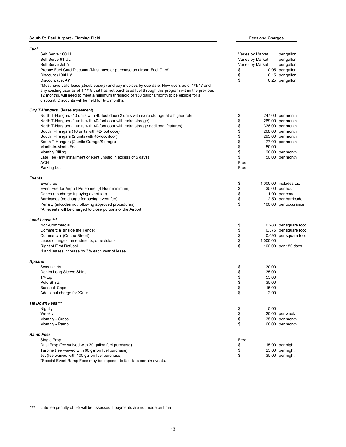### **South St. Paul Airport - Fleming Field**

| South St. Paul Airport - Fleming Field                                                                                                                                                                                                                                                                                                                  |                  | <b>Fees and Charges</b> |                       |  |
|---------------------------------------------------------------------------------------------------------------------------------------------------------------------------------------------------------------------------------------------------------------------------------------------------------------------------------------------------------|------------------|-------------------------|-----------------------|--|
| Fuel                                                                                                                                                                                                                                                                                                                                                    |                  |                         |                       |  |
| Self Serve 100 LL                                                                                                                                                                                                                                                                                                                                       | Varies by Market |                         | per gallon            |  |
| Self Serve 91 UL                                                                                                                                                                                                                                                                                                                                        | Varies by Market |                         | per gallon            |  |
| Self Serve Jet A                                                                                                                                                                                                                                                                                                                                        | Varies by Market |                         | per gallon            |  |
| Prepay Fuel Card Discount (Must have or purchase an airport Fuel Card)                                                                                                                                                                                                                                                                                  | \$               |                         | 0.05 per gallon       |  |
| Discount (100LL)*                                                                                                                                                                                                                                                                                                                                       | \$               |                         | 0.15 per gallon       |  |
| Discount (Jet A)*                                                                                                                                                                                                                                                                                                                                       | \$               |                         | 0.25 per gallon       |  |
|                                                                                                                                                                                                                                                                                                                                                         |                  |                         |                       |  |
| *Must have valid lease(s)/sublease(s) and pay invoices by due date. New users as of 1/1/17 and<br>any existing user as of 1/1/18 that has not purchased fuel through this program within the previous<br>12 months, will need to meet a minimum threshold of 150 gallons/month to be eligible for a<br>discount. Discounts will be held for two months. |                  |                         |                       |  |
| <b>City T-Hangars</b> (lease agreement)                                                                                                                                                                                                                                                                                                                 |                  |                         |                       |  |
| North T-Hangars (10 units with 40-foot door) 2 units with extra storage at a higher rate                                                                                                                                                                                                                                                                | \$               |                         | 247.00 per month      |  |
| North T-Hangars (1 units with 40-foot door with extra stroage)                                                                                                                                                                                                                                                                                          | \$               |                         | 289.00 per month      |  |
| North T-Hangars (1 units with 40-foot door with extra stroage additonal features)                                                                                                                                                                                                                                                                       | \$               |                         | 336.00 per month      |  |
|                                                                                                                                                                                                                                                                                                                                                         | \$               |                         | 268.00 per month      |  |
| South T-Hangars (18 units with 42-foot door)                                                                                                                                                                                                                                                                                                            |                  |                         |                       |  |
| South T-Hangars (2 units with 45-foot door)                                                                                                                                                                                                                                                                                                             | \$               |                         | 295.00 per month      |  |
| South T-Hangars (2 units Garage/Storage)                                                                                                                                                                                                                                                                                                                | \$               |                         | 177.00 per month      |  |
| Month-to-Month Fee                                                                                                                                                                                                                                                                                                                                      | \$               | 50.00                   |                       |  |
| <b>Monthly Billing</b>                                                                                                                                                                                                                                                                                                                                  | \$               |                         | 20.00 per month       |  |
| Late Fee (any installment of Rent unpaid in excess of 5 days)                                                                                                                                                                                                                                                                                           | \$               |                         | 50.00 per month       |  |
| ACH                                                                                                                                                                                                                                                                                                                                                     | Free             |                         |                       |  |
| Parking Lot                                                                                                                                                                                                                                                                                                                                             | Free             |                         |                       |  |
| <b>Events</b>                                                                                                                                                                                                                                                                                                                                           |                  |                         |                       |  |
| Event fee                                                                                                                                                                                                                                                                                                                                               | \$               |                         | 1,000.00 includes tax |  |
| Event Fee for Airport Personnel (4 Hour minimum)                                                                                                                                                                                                                                                                                                        | \$               |                         | 35.00 per hour        |  |
| Cones (no charge if paying event fee)                                                                                                                                                                                                                                                                                                                   | \$               |                         | 1.00 per cone         |  |
| Barricades (no charge for paying event fee)                                                                                                                                                                                                                                                                                                             | \$               |                         | 2.50 per barricade    |  |
| Penalty (inlcudes not following approved procedures)<br>*All events will be charged to close portions of the Airport                                                                                                                                                                                                                                    | \$               |                         | 100.00 per occurance  |  |
| Land Lease ***                                                                                                                                                                                                                                                                                                                                          |                  |                         |                       |  |
| Non-Commercial                                                                                                                                                                                                                                                                                                                                          | \$               |                         | 0.288 per square foot |  |
| Commercial (Inside the Fence)                                                                                                                                                                                                                                                                                                                           | \$               |                         | 0.375 per square foot |  |
| Commercial (On the Street)                                                                                                                                                                                                                                                                                                                              | \$               |                         | 0.490 per square foot |  |
| Lease changes, amendments, or revisions                                                                                                                                                                                                                                                                                                                 | \$               | 1,000.00                |                       |  |
| <b>Right of First Refusal</b>                                                                                                                                                                                                                                                                                                                           | \$               |                         | 100.00 per 180 days   |  |
| *Land leases increase by 3% each year of lease                                                                                                                                                                                                                                                                                                          |                  |                         |                       |  |
| <b>Apparel</b>                                                                                                                                                                                                                                                                                                                                          |                  |                         |                       |  |
| Sweatshirts                                                                                                                                                                                                                                                                                                                                             | \$               | 30.00                   |                       |  |
| Denim Long Sleeve Shirts                                                                                                                                                                                                                                                                                                                                | \$               | 35.00                   |                       |  |
| $1/4$ zip                                                                                                                                                                                                                                                                                                                                               | \$               | 55.00                   |                       |  |
| Polo Shirts                                                                                                                                                                                                                                                                                                                                             | \$               | 35.00                   |                       |  |
| <b>Baseball Caps</b>                                                                                                                                                                                                                                                                                                                                    | ¢                | 15.00                   |                       |  |
| Additional charge for XXL+                                                                                                                                                                                                                                                                                                                              | \$               | 2.00                    |                       |  |
| <b>Tie Down Fees***</b>                                                                                                                                                                                                                                                                                                                                 |                  |                         |                       |  |
| Nightly                                                                                                                                                                                                                                                                                                                                                 | \$               | 5.00                    |                       |  |
| Weekly                                                                                                                                                                                                                                                                                                                                                  | \$               |                         | 20.00 per week        |  |
| Monthly - Grass                                                                                                                                                                                                                                                                                                                                         | \$               |                         | 35.00 per month       |  |
| Monthly - Ramp                                                                                                                                                                                                                                                                                                                                          | \$               |                         | 60.00 per month       |  |
| Ramp Fees                                                                                                                                                                                                                                                                                                                                               |                  |                         |                       |  |
| Single Prop                                                                                                                                                                                                                                                                                                                                             | Free             |                         |                       |  |
| Dual Prop (fee waived with 30 gallon fuel purchase)                                                                                                                                                                                                                                                                                                     | \$               |                         | 15.00 per night       |  |
| Turbine (fee waived with 60 gallon fuel purchase)                                                                                                                                                                                                                                                                                                       | \$               |                         | 25.00 per night       |  |
| Jet (fee waived with 100 gallon fuel purchase)                                                                                                                                                                                                                                                                                                          | \$               |                         | 35.00 per night       |  |
| *Special Event Ramp Fees may be imposed to facilitate certain events.                                                                                                                                                                                                                                                                                   |                  |                         |                       |  |

\*\*\* Late fee penalty of 5% will be assessed if payments are not made on time